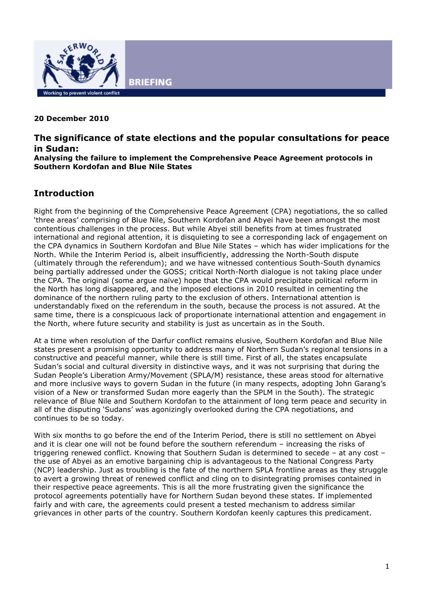

#### **20 December 2010**

# **The significance of state elections and the popular consultations for peace in Sudan:**

**Analysing the failure to implement the Comprehensive Peace Agreement protocols in Southern Kordofan and Blue Nile States** 

#### **Introduction**

Right from the beginning of the Comprehensive Peace Agreement (CPA) negotiations, the so called 'three areas' comprising of Blue Nile, Southern Kordofan and Abyei have been amongst the most contentious challenges in the process. But while Abyei still benefits from at times frustrated international and regional attention, it is disquieting to see a corresponding lack of engagement on the CPA dynamics in Southern Kordofan and Blue Nile States – which has wider implications for the North. While the Interim Period is, albeit insufficiently, addressing the North-South dispute (ultimately through the referendum); and we have witnessed contentious South-South dynamics being partially addressed under the GOSS; critical North-North dialogue is not taking place under the CPA. The original (some argue naïve) hope that the CPA would precipitate political reform in the North has long disappeared, and the imposed elections in 2010 resulted in cementing the dominance of the northern ruling party to the exclusion of others. International attention is understandably fixed on the referendum in the south, because the process is not assured. At the same time, there is a conspicuous lack of proportionate international attention and engagement in the North, where future security and stability is just as uncertain as in the South.

At a time when resolution of the Darfur conflict remains elusive, Southern Kordofan and Blue Nile states present a promising opportunity to address many of Northern Sudan's regional tensions in a constructive and peaceful manner, while there is still time. First of all, the states encapsulate Sudan's social and cultural diversity in distinctive ways, and it was not surprising that during the Sudan People's Liberation Army/Movement (SPLA/M) resistance, these areas stood for alternative and more inclusive ways to govern Sudan in the future (in many respects, adopting John Garang's vision of a New or transformed Sudan more eagerly than the SPLM in the South). The strategic relevance of Blue Nile and Southern Kordofan to the attainment of long term peace and security in all of the disputing 'Sudans' was agonizingly overlooked during the CPA negotiations, and continues to be so today.

With six months to go before the end of the Interim Period, there is still no settlement on Abyei and it is clear one will not be found before the southern referendum – increasing the risks of triggering renewed conflict. Knowing that Southern Sudan is determined to secede – at any cost – the use of Abyei as an emotive bargaining chip is advantageous to the National Congress Party (NCP) leadership. Just as troubling is the fate of the northern SPLA frontline areas as they struggle to avert a growing threat of renewed conflict and cling on to disintegrating promises contained in their respective peace agreements. This is all the more frustrating given the significance the protocol agreements potentially have for Northern Sudan beyond these states. If implemented fairly and with care, the agreements could present a tested mechanism to address similar grievances in other parts of the country. Southern Kordofan keenly captures this predicament.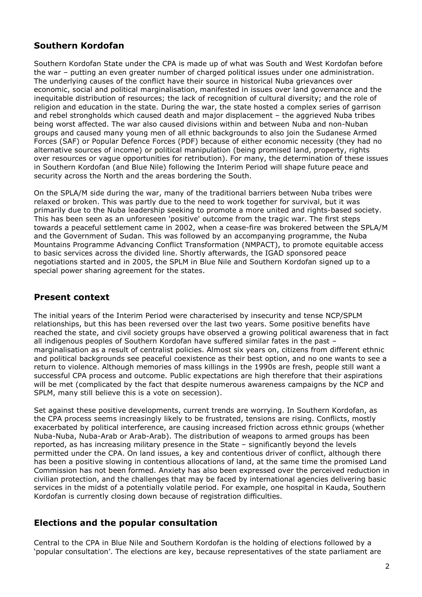# **Southern Kordofan**

Southern Kordofan State under the CPA is made up of what was South and West Kordofan before the war – putting an even greater number of charged political issues under one administration. The underlying causes of the conflict have their source in historical Nuba grievances over economic, social and political marginalisation, manifested in issues over land governance and the inequitable distribution of resources; the lack of recognition of cultural diversity; and the role of religion and education in the state. During the war, the state hosted a complex series of garrison and rebel strongholds which caused death and major displacement – the aggrieved Nuba tribes being worst affected. The war also caused divisions within and between Nuba and non-Nuban groups and caused many young men of all ethnic backgrounds to also join the Sudanese Armed Forces (SAF) or Popular Defence Forces (PDF) because of either economic necessity (they had no alternative sources of income) or political manipulation (being promised land, property, rights over resources or vague opportunities for retribution). For many, the determination of these issues in Southern Kordofan (and Blue Nile) following the Interim Period will shape future peace and security across the North and the areas bordering the South.

On the SPLA/M side during the war, many of the traditional barriers between Nuba tribes were relaxed or broken. This was partly due to the need to work together for survival, but it was primarily due to the Nuba leadership seeking to promote a more united and rights-based society. This has been seen as an unforeseen 'positive' outcome from the tragic war. The first steps towards a peaceful settlement came in 2002, when a cease-fire was brokered between the SPLA/M and the Government of Sudan. This was followed by an accompanying programme, the Nuba Mountains Programme Advancing Conflict Transformation (NMPACT), to promote equitable access to basic services across the divided line. Shortly afterwards, the IGAD sponsored peace negotiations started and in 2005, the SPLM in Blue Nile and Southern Kordofan signed up to a special power sharing agreement for the states.

## **Present context**

The initial years of the Interim Period were characterised by insecurity and tense NCP/SPLM relationships, but this has been reversed over the last two years. Some positive benefits have reached the state, and civil society groups have observed a growing political awareness that in fact all indigenous peoples of Southern Kordofan have suffered similar fates in the past – marginalisation as a result of centralist policies. Almost six years on, citizens from different ethnic and political backgrounds see peaceful coexistence as their best option, and no one wants to see a return to violence. Although memories of mass killings in the 1990s are fresh, people still want a successful CPA process and outcome. Public expectations are high therefore that their aspirations will be met (complicated by the fact that despite numerous awareness campaigns by the NCP and SPLM, many still believe this is a vote on secession).

Set against these positive developments, current trends are worrying. In Southern Kordofan, as the CPA process seems increasingly likely to be frustrated, tensions are rising. Conflicts, mostly exacerbated by political interference, are causing increased friction across ethnic groups (whether Nuba-Nuba, Nuba-Arab or Arab-Arab). The distribution of weapons to armed groups has been reported, as has increasing military presence in the State – significantly beyond the levels permitted under the CPA. On land issues, a key and contentious driver of conflict, although there has been a positive slowing in contentious allocations of land, at the same time the promised Land Commission has not been formed. Anxiety has also been expressed over the perceived reduction in civilian protection, and the challenges that may be faced by international agencies delivering basic services in the midst of a potentially volatile period. For example, one hospital in Kauda, Southern Kordofan is currently closing down because of registration difficulties.

#### **Elections and the popular consultation**

Central to the CPA in Blue Nile and Southern Kordofan is the holding of elections followed by a 'popular consultation'. The elections are key, because representatives of the state parliament are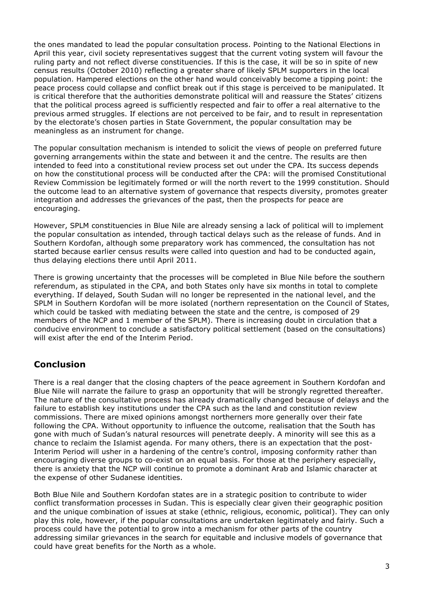the ones mandated to lead the popular consultation process. Pointing to the National Elections in April this year, civil society representatives suggest that the current voting system will favour the ruling party and not reflect diverse constituencies. If this is the case, it will be so in spite of new census results (October 2010) reflecting a greater share of likely SPLM supporters in the local population. Hampered elections on the other hand would conceivably become a tipping point: the peace process could collapse and conflict break out if this stage is perceived to be manipulated. It is critical therefore that the authorities demonstrate political will and reassure the States' citizens that the political process agreed is sufficiently respected and fair to offer a real alternative to the previous armed struggles. If elections are not perceived to be fair, and to result in representation by the electorate's chosen parties in State Government, the popular consultation may be meaningless as an instrument for change.

The popular consultation mechanism is intended to solicit the views of people on preferred future governing arrangements within the state and between it and the centre. The results are then intended to feed into a constitutional review process set out under the CPA. Its success depends on how the constitutional process will be conducted after the CPA: will the promised Constitutional Review Commission be legitimately formed or will the north revert to the 1999 constitution. Should the outcome lead to an alternative system of governance that respects diversity, promotes greater integration and addresses the grievances of the past, then the prospects for peace are encouraging.

However, SPLM constituencies in Blue Nile are already sensing a lack of political will to implement the popular consultation as intended, through tactical delays such as the release of funds. And in Southern Kordofan, although some preparatory work has commenced, the consultation has not started because earlier census results were called into question and had to be conducted again, thus delaying elections there until April 2011.

There is growing uncertainty that the processes will be completed in Blue Nile before the southern referendum, as stipulated in the CPA, and both States only have six months in total to complete everything. If delayed, South Sudan will no longer be represented in the national level, and the SPLM in Southern Kordofan will be more isolated (northern representation on the Council of States, which could be tasked with mediating between the state and the centre, is composed of 29 members of the NCP and 1 member of the SPLM). There is increasing doubt in circulation that a conducive environment to conclude a satisfactory political settlement (based on the consultations) will exist after the end of the Interim Period.

## **Conclusion**

There is a real danger that the closing chapters of the peace agreement in Southern Kordofan and Blue Nile will narrate the failure to grasp an opportunity that will be strongly regretted thereafter. The nature of the consultative process has already dramatically changed because of delays and the failure to establish key institutions under the CPA such as the land and constitution review commissions. There are mixed opinions amongst northerners more generally over their fate following the CPA. Without opportunity to influence the outcome, realisation that the South has gone with much of Sudan's natural resources will penetrate deeply. A minority will see this as a chance to reclaim the Islamist agenda. For many others, there is an expectation that the post-Interim Period will usher in a hardening of the centre's control, imposing conformity rather than encouraging diverse groups to co-exist on an equal basis. For those at the periphery especially, there is anxiety that the NCP will continue to promote a dominant Arab and Islamic character at the expense of other Sudanese identities.

Both Blue Nile and Southern Kordofan states are in a strategic position to contribute to wider conflict transformation processes in Sudan. This is especially clear given their geographic position and the unique combination of issues at stake (ethnic, religious, economic, political). They can only play this role, however, if the popular consultations are undertaken legitimately and fairly. Such a process could have the potential to grow into a mechanism for other parts of the country addressing similar grievances in the search for equitable and inclusive models of governance that could have great benefits for the North as a whole.